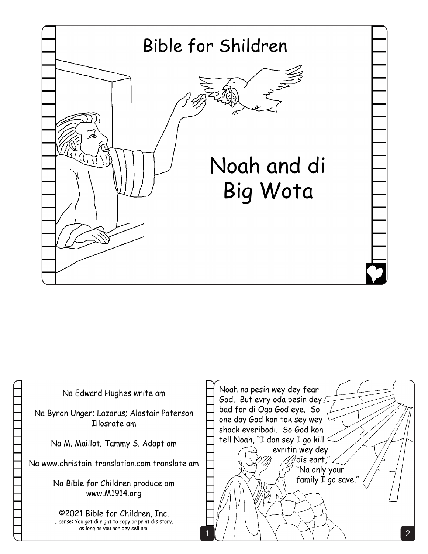

| Na Edward Hughes write am                                                                                                  | Noah na pesin wey dey fear<br>God. But evry oda pesin dey L                              |
|----------------------------------------------------------------------------------------------------------------------------|------------------------------------------------------------------------------------------|
| Na Byron Unger; Lazarus; Alastair Paterson<br>Illosrate am                                                                 | bad for di Oga God eye. So<br>one day God kon tok sey wey<br>shock everibodi. So God kon |
| Na M. Maillot; Tammy S. Adapt am                                                                                           | tell Noah, "I don sey I go kill<br>evritin wey dey                                       |
| Na www.christain-translation.com translate am                                                                              | $\mathscr{A}$ dis eart,"<br>"Na only your                                                |
| Na Bible for Children produce am<br>www.M1914.org                                                                          | family I go save."                                                                       |
| ©2021 Bible for Children, Inc.<br>License: You get di right to copy or print dis story,<br>as long as you nor dey sell am. |                                                                                          |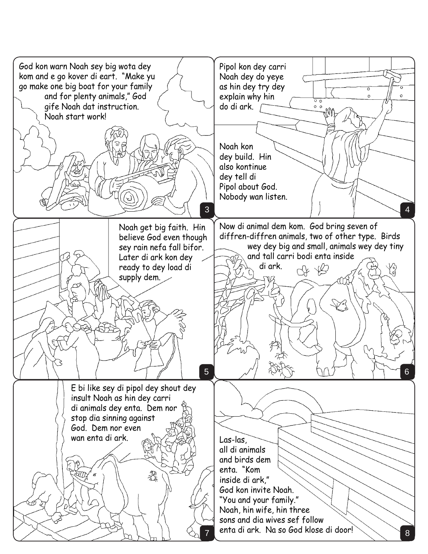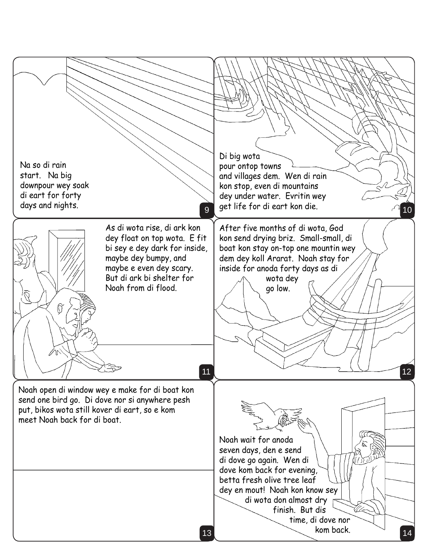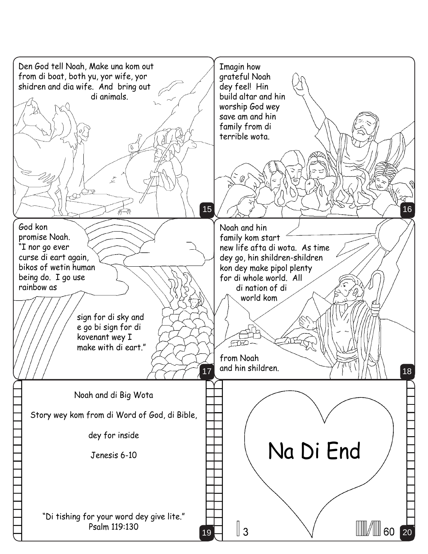